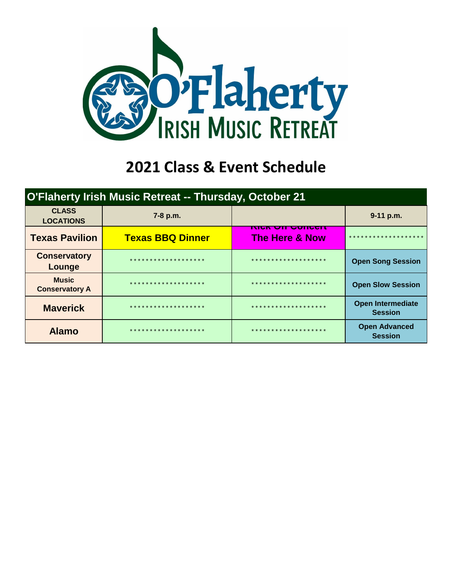

## **2021 Class & Event Schedule**

| O'Flaherty Irish Music Retreat -- Thursday, October 21 |                                       |                                                      |                                            |  |  |  |  |  |  |
|--------------------------------------------------------|---------------------------------------|------------------------------------------------------|--------------------------------------------|--|--|--|--|--|--|
| <b>CLASS</b><br><b>LOCATIONS</b>                       | 7-8 p.m.                              |                                                      | 9-11 p.m.                                  |  |  |  |  |  |  |
| <b>Texas Pavilion</b>                                  | <b>Texas BBQ Dinner</b>               | <u>MGA QIL QUNGGI I</u><br><b>The Here &amp; Now</b> | * * * * * * * * * * * * * * *              |  |  |  |  |  |  |
| <b>Conservatory</b><br>Lounge                          | * * * * * * * * * * * * * * * * * * * | * * * * * * * * * * * * * * * * * * *                | <b>Open Song Session</b>                   |  |  |  |  |  |  |
| <b>Music</b><br><b>Conservatory A</b>                  | * * * * * * * * * * * * * * * * * * * | * * * * * * * * * * * * * * * * * * *                | <b>Open Slow Session</b>                   |  |  |  |  |  |  |
| <b>Maverick</b>                                        | * * * * * * * * * * * * * * * * * * * | * * * * * * * * * * * * * * * * * * *                | <b>Open Intermediate</b><br><b>Session</b> |  |  |  |  |  |  |
| <b>Alamo</b>                                           | * * * * * * * * * * * * * * * * * * * | * * * * * * * * * * * * * * * * * * *                | <b>Open Advanced</b><br><b>Session</b>     |  |  |  |  |  |  |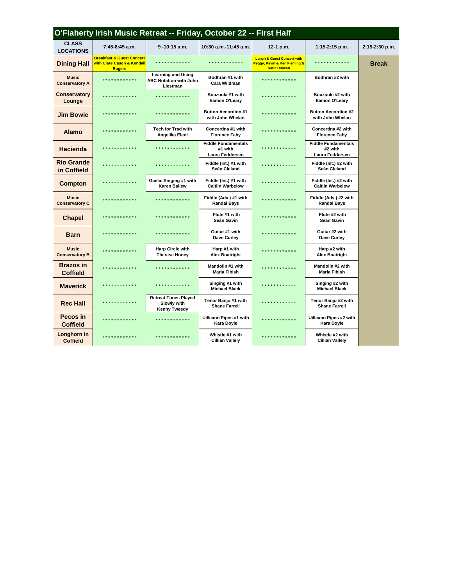| O'Flaherty Irish Music Retreat -- Friday, October 22 -- First Half |                                                                                                |                                                                        |                                                          |                                                                                              |                                                          |                |  |  |  |  |
|--------------------------------------------------------------------|------------------------------------------------------------------------------------------------|------------------------------------------------------------------------|----------------------------------------------------------|----------------------------------------------------------------------------------------------|----------------------------------------------------------|----------------|--|--|--|--|
| <b>CLASS</b><br><b>LOCATIONS</b>                                   | $7:45-8:45$ a.m.                                                                               | $9 - 10:15$ a.m.                                                       | 10:30 a.m.-11:45 a.m.                                    | 12-1 p.m.                                                                                    | 1:15-2:15 p.m.                                           | 2:15-2:30 p.m. |  |  |  |  |
| <b>Dining Hall</b>                                                 | <b>Breakfast &amp; Guest Concert</b><br><b>with Clare Cason &amp; Kendall</b><br><b>Rogers</b> | ************                                                           | *************                                            | <b>Lunch &amp; Guest Concert with</b><br>Peggy, Kevin & Ken Fleming &<br><b>Katie Duncan</b> | ************                                             | <b>Break</b>   |  |  |  |  |
| <b>Music</b><br><b>Conservatory A</b>                              | * * * * * * * * * * * *                                                                        | <b>Learning and Using</b><br><b>ABC Notation with John</b><br>Liestman | Bodhran #1 with<br>Cara Wildman                          | ************                                                                                 | Bodhran #2 with                                          |                |  |  |  |  |
| Conservatory<br>Lounge                                             | *********                                                                                      | *************                                                          | Bouzouki #1 with<br>Eamon O'Leary                        | *************                                                                                | Bouzouki #2 with<br>Eamon O'Leary                        |                |  |  |  |  |
| <b>Jim Bowie</b>                                                   | .                                                                                              | <b>.</b>                                                               | <b>Button Accordion #1</b><br>with John Whelan           | ***********                                                                                  | <b>Button Accordion #2</b><br>with John Whelan           |                |  |  |  |  |
| <b>Alamo</b>                                                       | * * * * * * * * *                                                                              | <b>Tech for Trad with</b><br>Angelika Eleni                            | Concertina #1 with<br><b>Florence Fahy</b>               | ***********                                                                                  | Concertina #2 with<br><b>Florence Fahy</b>               |                |  |  |  |  |
| <b>Hacienda</b>                                                    |                                                                                                | *********                                                              | <b>Fiddle Fundamentals</b><br>#1 with<br>Laura Feddersen | **********                                                                                   | <b>Fiddle Fundamentals</b><br>#2 with<br>Laura Feddersen |                |  |  |  |  |
| <b>Rio Grande</b><br>in Coffield                                   | * * * * * * * * * * * *                                                                        | ************                                                           | Fiddle (Int.) #1 with<br>Seán Cleland                    | ***********                                                                                  | Fiddle (Int.) #2 with<br>Seán Cleland                    |                |  |  |  |  |
| <b>Compton</b>                                                     | *********                                                                                      | Gaelic Singing #1 with<br><b>Karen Ballew</b>                          | Fiddle (Int.) #1 with<br><b>Caitlin Warbelow</b>         | ***********                                                                                  | Fiddle (Int.) #2 with<br><b>Caitlin Warbelow</b>         |                |  |  |  |  |
| <b>Music</b><br><b>Conservatory C</b>                              | *********                                                                                      | *************                                                          | Fiddle (Adv.) #1 with<br><b>Randal Bays</b>              | ***********                                                                                  | Fiddle (Adv.) #2 with<br><b>Randal Bays</b>              |                |  |  |  |  |
| <b>Chapel</b>                                                      | **********                                                                                     | *************                                                          | Flute #1 with<br>Seán Gavin                              | ************                                                                                 | Flute #2 with<br>Seán Gavin                              |                |  |  |  |  |
| <b>Barn</b>                                                        | **********                                                                                     | ************                                                           | Guitar #1 with<br>Dave Curley                            | ***********                                                                                  | Guitar #2 with<br>Dave Curley                            |                |  |  |  |  |
| <b>Music</b><br><b>Conservatory B</b>                              | * * * * * * * * * * * *                                                                        | <b>Harp Circle with</b><br><b>Therese Honey</b>                        | Harp #1 with<br><b>Alex Boatright</b>                    | ************                                                                                 | Harp #2 with<br><b>Alex Boatright</b>                    |                |  |  |  |  |
| <b>Brazos</b> in<br><b>Coffield</b>                                | * * * * * * * * *                                                                              | ************                                                           | Mandolin #1 with<br>Marla Fibish                         | ***********                                                                                  | Mandolin #2 with<br><b>Marla Fibish</b>                  |                |  |  |  |  |
| <b>Maverick</b>                                                    | *********                                                                                      | ************                                                           | Singing #1 with<br><b>Michael Black</b>                  | * * * * * * * * * * *                                                                        | Singing #2 with<br><b>Michael Black</b>                  |                |  |  |  |  |
| <b>Rec Hall</b>                                                    | **********                                                                                     | <b>Retreat Tunes Played</b><br>Slowly with<br>Kenny Tweedy             | Tenor Banjo #1 with<br><b>Shane Farrell</b>              | ***********                                                                                  | Tenor Banjo #2 with<br><b>Shane Farrell</b>              |                |  |  |  |  |
| Pecos in<br><b>Coffield</b>                                        | *********                                                                                      | * * * * * * * * * * * *                                                | Uilleann Pipes #1 with<br>Kara Doyle                     | ***********                                                                                  | Uilleann Pipes #2 with<br>Kara Doyle                     |                |  |  |  |  |
| Longhorn in<br><b>Coffield</b>                                     | * * * * * * * * * * * *                                                                        | * * * * * * * * * * * *                                                | Whistle #1 with<br><b>Cillian Vallely</b>                | ************                                                                                 | Whistle #2 with<br><b>Cillian Vallely</b>                |                |  |  |  |  |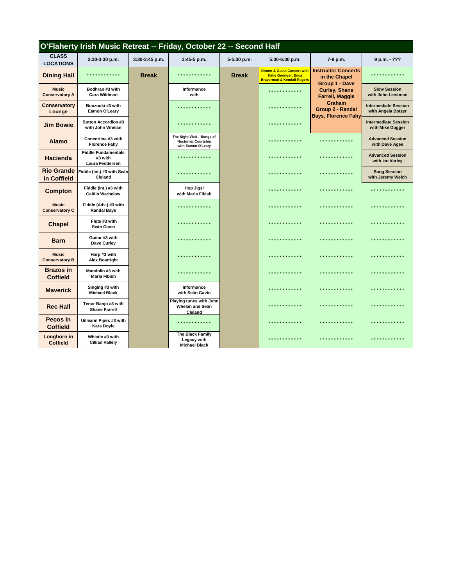| O'Flaherty Irish Music Retreat -- Friday, October 22 -- Second Half |                                                          |                |                                                                                |              |                                                                                                                 |                                                               |                                                   |  |  |
|---------------------------------------------------------------------|----------------------------------------------------------|----------------|--------------------------------------------------------------------------------|--------------|-----------------------------------------------------------------------------------------------------------------|---------------------------------------------------------------|---------------------------------------------------|--|--|
| <b>CLASS</b><br><b>LOCATIONS</b>                                    | 2:30-3:30 p.m.                                           | 3:30-3:45 p.m. | 3:45-5 p.m.                                                                    | 5-5:30 p.m.  | 5:30-6:30 p.m.                                                                                                  | 7-9 p.m.                                                      | 9 p.m. - ???                                      |  |  |
| <b>Dining Hall</b>                                                  | * * * * * * * * * * * *                                  | <b>Break</b>   | * * * * * * * * * * * *                                                        | <b>Break</b> | <b>Dinner &amp; Guest Concert with</b><br><b>Katie Geringer, Erica</b><br><b>Braverman &amp; Kendall Rogers</b> | <b>Instructor Concerts</b><br>in the Chapel<br>Group 1 - Dave | * * * * * * * * * * * *                           |  |  |
| <b>Music</b><br><b>Conservatory A</b>                               | Bodhran #3 with<br>Cara Wildman                          |                | Informance<br>with                                                             |              | .                                                                                                               | <b>Curley, Shane</b><br><b>Farrell, Maggie</b>                | <b>Slow Session</b><br>with John Liestman         |  |  |
| <b>Conservatory</b><br>Lounge                                       | Bouzouki #3 with<br>Eamon O'Leary                        |                | *********                                                                      |              | * * * * * * * * * * * *                                                                                         | Graham<br>Group 2 - Randal<br><b>Bays, Florence Fahy</b>      | <b>Intermediate Session</b><br>with Angela Botzer |  |  |
| <b>Jim Bowie</b>                                                    | <b>Button Accordion #3</b><br>with John Whelan           |                | ***********                                                                    |              | .                                                                                                               |                                                               | <b>Intermediate Session</b><br>with Mike Dugger   |  |  |
| <b>Alamo</b>                                                        | Concertina #3 with<br><b>Florence Fahy</b>               |                | The Night Visit - Songs of<br><b>Nocturnal Courtship</b><br>with Eamon O'Leary |              | .                                                                                                               | * * * * * * * * * * * *                                       | <b>Advanced Session</b><br>with Dave Agee         |  |  |
| <b>Hacienda</b>                                                     | <b>Fiddle Fundamentals</b><br>#3 with<br>Laura Feddersen |                | ************                                                                   |              | .                                                                                                               | * * * * * * * * * * * *                                       | <b>Advanced Session</b><br>with lan Varley        |  |  |
| <b>Rio Grande</b><br>in Coffield                                    | Fiddle (Int.) #3 with Seán<br>Cleland                    |                | * * * * * * * * * * * *                                                        |              | *************                                                                                                   | * * * * * * * * * * * *                                       | <b>Song Session</b><br>with Jeremy Welch          |  |  |
| <b>Compton</b>                                                      | Fiddle (Int.) #3 with<br><b>Caitlin Warbelow</b>         |                | <b>Hop Jigs!</b><br>with Marla Fibish                                          |              | *************                                                                                                   | * * * * * * * * * * * *                                       | * * * * * * * * * * * *                           |  |  |
| <b>Music</b><br><b>Conservatory C</b>                               | Fiddle (Adv.) #3 with<br><b>Randal Bays</b>              |                | ************                                                                   |              | .                                                                                                               | .                                                             | .                                                 |  |  |
| <b>Chapel</b>                                                       | Flute #3 with<br>Seán Gavin                              |                | ************                                                                   |              | *************                                                                                                   | ************                                                  | .                                                 |  |  |
| <b>Barn</b>                                                         | Guitar #3 with<br>Dave Curley                            |                | * * * * * * * * * * * *                                                        |              | * * * * * * * * * * * *                                                                                         | ************                                                  | .                                                 |  |  |
| <b>Music</b><br><b>Conservatory B</b>                               | Harp #3 with<br><b>Alex Boatright</b>                    |                | * * * * * * * * * * * *                                                        |              | * * * * * * * * * * * *                                                                                         | * * * * * * * * * * * *                                       | .                                                 |  |  |
| <b>Brazos</b> in<br><b>Coffield</b>                                 | Mandolin #3 with<br>Marla Fibish                         |                | .                                                                              |              | .                                                                                                               | ************                                                  | .                                                 |  |  |
| <b>Maverick</b>                                                     | Singing #3 with<br><b>Michael Black</b>                  |                | Informance<br>with Seán Gavin                                                  |              | .                                                                                                               | ************                                                  | .                                                 |  |  |
| <b>Rec Hall</b>                                                     | Tenor Banjo #3 with<br><b>Shane Farrell</b>              |                | Playing tunes with John<br>Whelan and Seán<br>Cleland                          |              | ************                                                                                                    | ************                                                  | .                                                 |  |  |
| Pecos in<br><b>Coffield</b>                                         | Uilleann Pipes #3 with<br>Kara Doyle                     |                | *************                                                                  |              | * * * * * * * * * * * *                                                                                         | ************                                                  | .                                                 |  |  |
| Longhorn in<br><b>Coffield</b>                                      | Whistle #3 with<br><b>Cillian Vallely</b>                |                | The Black Family<br>Legacy with<br><b>Michael Black</b>                        |              | .                                                                                                               | .                                                             | * * * * * * * * * * * *                           |  |  |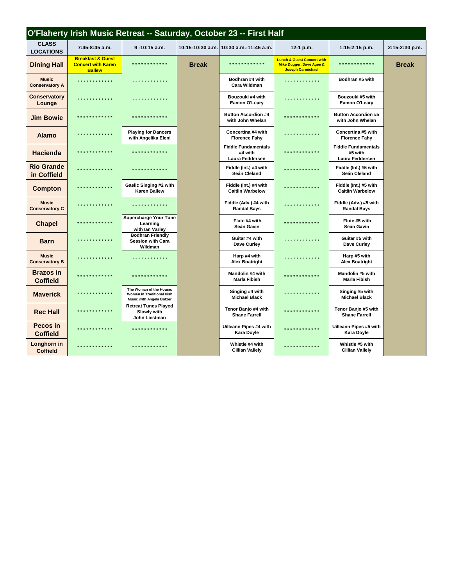| O'Flaherty Irish Music Retreat -- Saturday, October 23 -- First Half |                                                                            |                                                                                                 |              |                                                          |                                                                                               |                                                          |                |  |  |
|----------------------------------------------------------------------|----------------------------------------------------------------------------|-------------------------------------------------------------------------------------------------|--------------|----------------------------------------------------------|-----------------------------------------------------------------------------------------------|----------------------------------------------------------|----------------|--|--|
| <b>CLASS</b><br><b>LOCATIONS</b>                                     | 7:45-8:45 a.m.                                                             | $9 - 10:15$ a.m.                                                                                |              | 10:15-10:30 a.m. 10:30 a.m.-11:45 a.m.                   | 12-1 p.m.                                                                                     | $1:15-2:15$ p.m.                                         | 2:15-2:30 p.m. |  |  |
| <b>Dining Hall</b>                                                   | <b>Breakfast &amp; Guest</b><br><b>Concert with Karen</b><br><b>Ballew</b> | * * * * * * * * * * * *                                                                         | <b>Break</b> | ************                                             | <b>Lunch &amp; Guest Concert with</b><br>Mike Dugger, Dave Agee &<br><b>Joseph Carmichael</b> | * * * * * * * * * * * *                                  | <b>Break</b>   |  |  |
| <b>Music</b><br><b>Conservatory A</b>                                | ************                                                               | * * * * * * * * * * * *                                                                         |              | Bodhran #4 with<br><b>Cara Wildman</b>                   | * * * * * * * * * * * *                                                                       | Bodhran #5 with                                          |                |  |  |
| <b>Conservatory</b><br>Lounge                                        | .                                                                          | .                                                                                               |              | Bouzouki #4 with<br>Eamon O'Leary                        | .                                                                                             | Bouzouki #5 with<br>Eamon O'Leary                        |                |  |  |
| <b>Jim Bowie</b>                                                     | ************                                                               | .                                                                                               |              | <b>Button Accordion #4</b><br>with John Whelan           | .                                                                                             | <b>Button Accordion #5</b><br>with John Whelan           |                |  |  |
| <b>Alamo</b>                                                         | .                                                                          | <b>Playing for Dancers</b><br>with Angelika Eleni                                               |              | Concertina #4 with<br><b>Florence Fahy</b>               | .                                                                                             | Concertina #5 with<br><b>Florence Fahy</b>               |                |  |  |
| <b>Hacienda</b>                                                      | * * * * * * * * * * * *                                                    | * * * * * * * * * * * *                                                                         |              | <b>Fiddle Fundamentals</b><br>#4 with<br>Laura Feddersen | .                                                                                             | <b>Fiddle Fundamentals</b><br>#5 with<br>Laura Feddersen |                |  |  |
| <b>Rio Grande</b><br>in Coffield                                     | ************                                                               | .                                                                                               |              | Fiddle (Int.) #4 with<br>Seán Cleland                    | .                                                                                             | Fiddle (Int.) #5 with<br>Seán Cleland                    |                |  |  |
| <b>Compton</b>                                                       | ************                                                               | Gaelic Singing #2 with<br><b>Karen Ballew</b>                                                   |              | Fiddle (Int.) #4 with<br><b>Caitlin Warbelow</b>         | * * * * * * * * * * * *                                                                       | Fiddle (Int.) #5 with<br><b>Caitlin Warbelow</b>         |                |  |  |
| <b>Music</b><br><b>Conservatory C</b>                                | ************                                                               | * * * * * * * * * * * * *                                                                       |              | Fiddle (Adv.) #4 with<br><b>Randal Bays</b>              | ************                                                                                  | Fiddle (Adv.) #5 with<br><b>Randal Bays</b>              |                |  |  |
| <b>Chapel</b>                                                        | * * * * * * * * * * * *                                                    | <b>Supercharge Your Tune</b><br>Learning<br>with lan Varley                                     |              | Flute #4 with<br>Seán Gavin                              | .                                                                                             | Flute #5 with<br>Seán Gavin                              |                |  |  |
| <b>Barn</b>                                                          | *************                                                              | <b>Bodhran Friendly</b><br><b>Session with Cara</b><br>Wildman                                  |              | Guitar #4 with<br>Dave Curley                            | .                                                                                             | Guitar #5 with<br>Dave Curley                            |                |  |  |
| <b>Music</b><br><b>Conservatory B</b>                                | .                                                                          | .                                                                                               |              | Harp #4 with<br><b>Alex Boatright</b>                    | .                                                                                             | Harp #5 with<br><b>Alex Boatright</b>                    |                |  |  |
| <b>Brazos</b> in<br><b>Coffield</b>                                  | ************                                                               | .                                                                                               |              | Mandolin #4 with<br><b>Marla Fibish</b>                  | .                                                                                             | Mandolin #5 with<br><b>Marla Fibish</b>                  |                |  |  |
| <b>Maverick</b>                                                      | *************                                                              | The Woman of the House:<br><b>Women in Traditional Irish</b><br><b>Music with Angela Botzer</b> |              | Singing #4 with<br><b>Michael Black</b>                  | .                                                                                             | Singing #5 with<br><b>Michael Black</b>                  |                |  |  |
| <b>Rec Hall</b>                                                      | .                                                                          | <b>Retreat Tunes Played</b><br>Slowly with<br>John Liestman                                     |              | Tenor Banjo #4 with<br><b>Shane Farrell</b>              | ************                                                                                  | Tenor Banjo #5 with<br><b>Shane Farrell</b>              |                |  |  |
| Pecos in<br><b>Coffield</b>                                          | .                                                                          | .                                                                                               |              | Uilleann Pipes #4 with<br><b>Kara Doyle</b>              | ************                                                                                  | Uilleann Pipes #5 with<br><b>Kara Doyle</b>              |                |  |  |
| Longhorn in<br><b>Coffield</b>                                       | *************                                                              | .                                                                                               |              | Whistle #4 with<br><b>Cillian Vallely</b>                | * * * * * * * * * * * *                                                                       | Whistle #5 with<br><b>Cillian Vallely</b>                |                |  |  |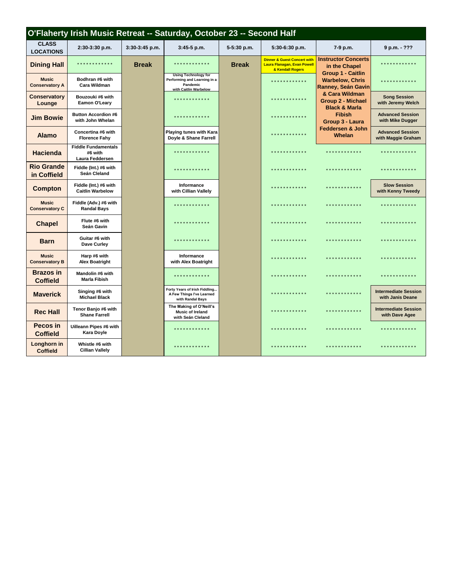|                                       | O'Flaherty Irish Music Retreat -- Saturday, October 23 -- Second Half |                  |                                                                                                  |              |                                                                                                  |                                                                   |                                                 |  |  |
|---------------------------------------|-----------------------------------------------------------------------|------------------|--------------------------------------------------------------------------------------------------|--------------|--------------------------------------------------------------------------------------------------|-------------------------------------------------------------------|-------------------------------------------------|--|--|
| <b>CLASS</b><br><b>LOCATIONS</b>      | 2:30-3:30 p.m.                                                        | $3:30-3:45$ p.m. | $3:45-5$ p.m.                                                                                    | 5-5:30 p.m.  | 5:30-6:30 p.m.                                                                                   | 7-9 p.m.                                                          | 9 p.m. - ???                                    |  |  |
| <b>Dining Hall</b>                    | * * * * * * * * * * * *                                               | <b>Break</b>     | * * * * * * * * * * * *                                                                          | <b>Break</b> | <b>Dinner &amp; Guest Concert with</b><br><b>Laura Flanagan, Evan Powell</b><br>& Kendall Rogers | <b>Instructor Concerts</b><br>in the Chapel                       | * * * * * * * * * * * *                         |  |  |
| <b>Music</b><br><b>Conservatory A</b> | Bodhran #6 with<br>Cara Wildman                                       |                  | <b>Using Technology for</b><br>Performing and Learning in a<br>Pandemic<br>with Caitlin Warbelow |              | ************                                                                                     | Group 1 - Caitlin<br><b>Warbelow, Chris</b><br>Ranney, Seán Gavin | * * * * * * * * * * * *                         |  |  |
| <b>Conservatory</b><br>Lounge         | Bouzouki #6 with<br>Eamon O'Leary                                     |                  | ************                                                                                     |              | .                                                                                                | & Cara Wildman<br>Group 2 - Michael                               | <b>Song Session</b><br>with Jeremy Welch        |  |  |
| <b>Jim Bowie</b>                      | <b>Button Accordion #6</b><br>with John Whelan                        |                  | .                                                                                                |              | * * * * * * * * * *                                                                              | <b>Black &amp; Marla</b><br><b>Fibish</b><br>Group 3 - Laura      | <b>Advanced Session</b><br>with Mike Dugger     |  |  |
| <b>Alamo</b>                          | Concertina #6 with<br><b>Florence Fahy</b>                            |                  | <b>Playing tunes with Kara</b><br>Doyle & Shane Farrell                                          |              | ************                                                                                     | <b>Feddersen &amp; John</b><br><b>Whelan</b>                      | <b>Advanced Session</b><br>with Maggie Graham   |  |  |
| <b>Hacienda</b>                       | <b>Fiddle Fundamentals</b><br>#6 with<br>Laura Feddersen              |                  | * * * * * * * * * * * *                                                                          |              | ************                                                                                     | . <b>* * * * * * * * * *</b> *                                    | .                                               |  |  |
| <b>Rio Grande</b><br>in Coffield      | Fiddle (Int.) #6 with<br>Seán Cleland                                 |                  | * * * * * * * * * * * *                                                                          |              | .                                                                                                | .                                                                 | .                                               |  |  |
| <b>Compton</b>                        | Fiddle (Int.) #6 with<br><b>Caitlin Warbelow</b>                      |                  | Informance<br>with Cillian Vallely                                                               |              | * * * * * * * * * * * *                                                                          | * * * * * * * * * * * *                                           | <b>Slow Session</b><br>with Kenny Tweedy        |  |  |
| <b>Music</b><br><b>Conservatory C</b> | Fiddle (Adv.) #6 with<br><b>Randal Bays</b>                           |                  | * * * * * * * * * * * *                                                                          |              | * * * * * * * * * * * *                                                                          | * * * * * * * * * * * *                                           | * * * * * * * * * * * *                         |  |  |
| <b>Chapel</b>                         | Flute #6 with<br>Seán Gavin                                           |                  | * * * * * * * * * * * *                                                                          |              | ************                                                                                     | * * * * * * * * * * * *                                           | .                                               |  |  |
| <b>Barn</b>                           | Guitar #6 with<br>Dave Curley                                         |                  | . * * * * * * * * * * *                                                                          |              | ************                                                                                     | * * * * * * * * * * * *                                           | .                                               |  |  |
| <b>Music</b><br><b>Conservatory B</b> | Harp #6 with<br><b>Alex Boatright</b>                                 |                  | Informance<br>with Alex Boatright                                                                |              | .                                                                                                | ************                                                      | .                                               |  |  |
| <b>Brazos</b> in<br><b>Coffield</b>   | Mandolin #6 with<br><b>Marla Fibish</b>                               |                  | ************                                                                                     |              | ***********                                                                                      | * * * * * * * * * * *                                             | * * * * * * * * * * * *                         |  |  |
| <b>Maverick</b>                       | Singing #6 with<br><b>Michael Black</b>                               |                  | Forty Years of Irish Fiddling<br>A Few Things I've Learned<br>with Randal Bays                   |              | ***********                                                                                      | ************                                                      | <b>Intermediate Session</b><br>with Janis Deane |  |  |
| <b>Rec Hall</b>                       | Tenor Banjo #6 with<br><b>Shane Farrell</b>                           |                  | The Making of O'Neill's<br><b>Music of Ireland</b><br>with Seán Cleland                          |              | * * * * * * * * * *                                                                              | * * * * * * * * * * *                                             | <b>Intermediate Session</b><br>with Dave Agee   |  |  |
| Pecos in<br><b>Coffield</b>           | Uilleann Pipes #6 with<br><b>Kara Doyle</b>                           |                  | * * * * * * * * * * * *                                                                          |              | ************                                                                                     | * * * * * * * * * * * *                                           | * * * * * * * * * * * *                         |  |  |
| Longhorn in<br><b>Coffield</b>        | Whistle #6 with<br><b>Cillian Vallely</b>                             |                  | * * * * * * * * * * * *                                                                          |              | ************                                                                                     | * * * * * * * * * * * *                                           | * * * * * * * * * * * *                         |  |  |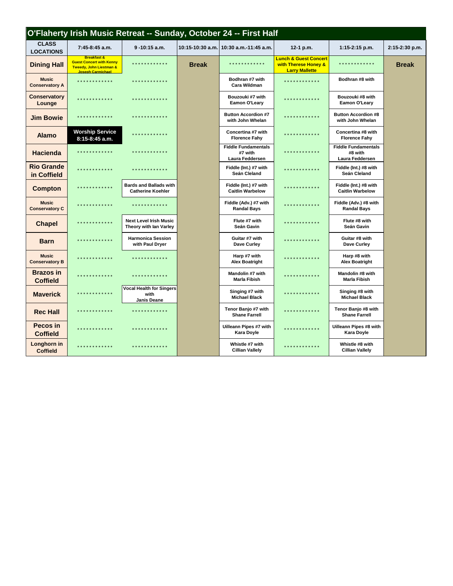| O'Flaherty Irish Music Retreat -- Sunday, October 24 -- First Half |                                                                                                           |                                                               |              |                                                          |                                                                                   |                                                          |                |  |  |
|--------------------------------------------------------------------|-----------------------------------------------------------------------------------------------------------|---------------------------------------------------------------|--------------|----------------------------------------------------------|-----------------------------------------------------------------------------------|----------------------------------------------------------|----------------|--|--|
| <b>CLASS</b><br><b>LOCATIONS</b>                                   | 7:45-8:45 a.m.                                                                                            | $9 - 10:15$ a.m.                                              |              | 10:15-10:30 a.m. 10:30 a.m.-11:45 a.m.                   | 12-1 p.m.                                                                         | 1:15-2:15 p.m.                                           | 2:15-2:30 p.m. |  |  |
| <b>Dining Hall</b>                                                 | <b>Breakfast &amp;</b><br><b>Guest Concert with Kenny</b><br>Tweedy, John Liestman &<br>Joseph Carmichael | * * * * * * * * * * * *                                       | <b>Break</b> | * * * * * * * * * * * *                                  | <b>Lunch &amp; Guest Concert</b><br>with Therese Honey &<br><b>Larry Mallette</b> | ************                                             | <b>Break</b>   |  |  |
| <b>Music</b><br><b>Conservatory A</b>                              |                                                                                                           | * * * * * * * * * * * *                                       |              | Bodhran #7 with<br><b>Cara Wildman</b>                   | .                                                                                 | Bodhran #8 with                                          |                |  |  |
| <b>Conservatory</b><br>Lounge                                      | .                                                                                                         | .                                                             |              | Bouzouki #7 with<br>Eamon O'Leary                        | .                                                                                 | Bouzouki #8 with<br>Eamon O'Leary                        |                |  |  |
| <b>Jim Bowie</b>                                                   | ************                                                                                              | * * * * * * * * * * * * *                                     |              | <b>Button Accordion #7</b><br>with John Whelan           | .                                                                                 | <b>Button Accordion #8</b><br>with John Whelan           |                |  |  |
| <b>Alamo</b>                                                       | <b>Worship Service</b><br>8:15-8:45 a.m.                                                                  | .                                                             |              | Concertina #7 with<br><b>Florence Fahy</b>               | .                                                                                 | Concertina #8 with<br><b>Florence Fahy</b>               |                |  |  |
| <b>Hacienda</b>                                                    | *************                                                                                             | .                                                             |              | <b>Fiddle Fundamentals</b><br>#7 with<br>Laura Feddersen | * * * * * * * * * * * *                                                           | <b>Fiddle Fundamentals</b><br>#8 with<br>Laura Feddersen |                |  |  |
| <b>Rio Grande</b><br>in Coffield                                   |                                                                                                           | .                                                             |              | Fiddle (Int.) #7 with<br>Seán Cleland                    | * * * * * * * * * * * *                                                           | Fiddle (Int.) #8 with<br>Seán Cleland                    |                |  |  |
| <b>Compton</b>                                                     | ************                                                                                              | <b>Bards and Ballads with</b><br><b>Catherine Koehler</b>     |              | Fiddle (Int.) #7 with<br><b>Caitlin Warbelow</b>         | * * * * * * * * * * * *                                                           | Fiddle (Int.) #8 with<br><b>Caitlin Warbelow</b>         |                |  |  |
| <b>Music</b><br><b>Conservatory C</b>                              | ************                                                                                              | * * * * * * * * * * * * *                                     |              | Fiddle (Adv.) #7 with<br><b>Randal Bays</b>              | .                                                                                 | Fiddle (Adv.) #8 with<br><b>Randal Bays</b>              |                |  |  |
| <b>Chapel</b>                                                      | ************                                                                                              | <b>Next Level Irish Music</b><br>Theory with lan Varley       |              | Flute #7 with<br>Seán Gavin                              | * * * * * * * * * * * *                                                           | Flute #8 with<br>Seán Gavin                              |                |  |  |
| <b>Barn</b>                                                        | ************                                                                                              | <b>Harmonica Session</b><br>with Paul Dryer                   |              | Guitar #7 with<br>Dave Curley                            | .                                                                                 | Guitar #8 with<br>Dave Curley                            |                |  |  |
| <b>Music</b><br><b>Conservatory B</b>                              | .                                                                                                         | .                                                             |              | Harp #7 with<br><b>Alex Boatright</b>                    | .                                                                                 | Harp #8 with<br><b>Alex Boatright</b>                    |                |  |  |
| <b>Brazos</b> in<br><b>Coffield</b>                                | .                                                                                                         | * * * * * * * * * * * * *                                     |              | Mandolin #7 with<br><b>Marla Fibish</b>                  | .                                                                                 | Mandolin #8 with<br><b>Marla Fibish</b>                  |                |  |  |
| <b>Maverick</b>                                                    | ************                                                                                              | <b>Vocal Health for Singers</b><br>with<br><b>Janis Deane</b> |              | Singing #7 with<br><b>Michael Black</b>                  | .                                                                                 | Singing #8 with<br><b>Michael Black</b>                  |                |  |  |
| <b>Rec Hall</b>                                                    | .                                                                                                         | .                                                             |              | Tenor Banjo #7 with<br><b>Shane Farrell</b>              | .                                                                                 | Tenor Banjo #8 with<br><b>Shane Farrell</b>              |                |  |  |
| Pecos in<br><b>Coffield</b>                                        |                                                                                                           | .                                                             |              | Uilleann Pipes #7 with<br><b>Kara Doyle</b>              | .                                                                                 | Uilleann Pipes #8 with<br><b>Kara Doyle</b>              |                |  |  |
| Longhorn in<br><b>Coffield</b>                                     | * * * * * * * * * * * *                                                                                   | .                                                             |              | Whistle #7 with<br><b>Cillian Vallely</b>                | * * * * * * * * * * * *                                                           | Whistle #8 with<br><b>Cillian Vallely</b>                |                |  |  |